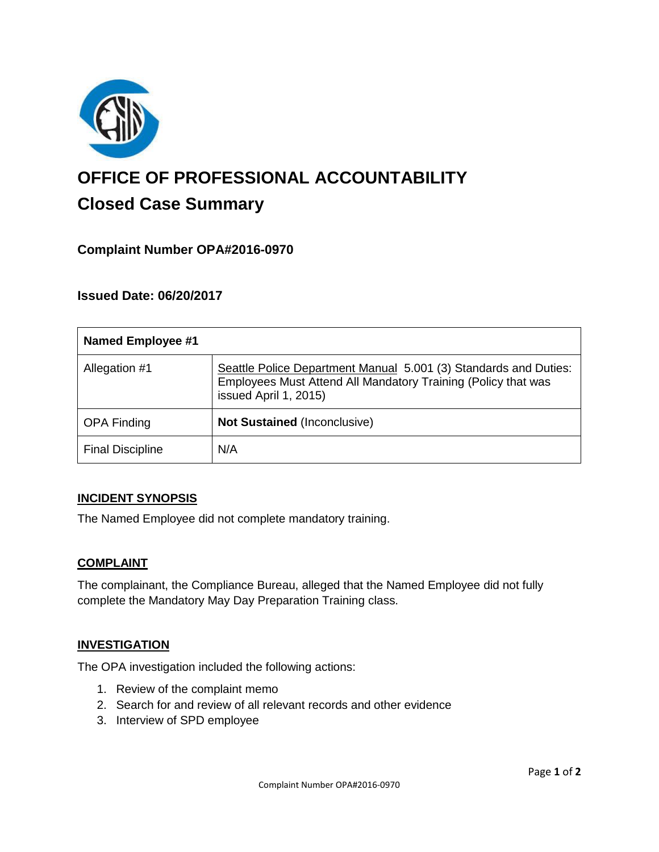

# **OFFICE OF PROFESSIONAL ACCOUNTABILITY Closed Case Summary**

# **Complaint Number OPA#2016-0970**

# **Issued Date: 06/20/2017**

| <b>Named Employee #1</b> |                                                                                                                                                            |
|--------------------------|------------------------------------------------------------------------------------------------------------------------------------------------------------|
| Allegation #1            | Seattle Police Department Manual 5.001 (3) Standards and Duties:<br>Employees Must Attend All Mandatory Training (Policy that was<br>issued April 1, 2015) |
| <b>OPA Finding</b>       | Not Sustained (Inconclusive)                                                                                                                               |
| <b>Final Discipline</b>  | N/A                                                                                                                                                        |

#### **INCIDENT SYNOPSIS**

The Named Employee did not complete mandatory training.

#### **COMPLAINT**

The complainant, the Compliance Bureau, alleged that the Named Employee did not fully complete the Mandatory May Day Preparation Training class.

#### **INVESTIGATION**

The OPA investigation included the following actions:

- 1. Review of the complaint memo
- 2. Search for and review of all relevant records and other evidence
- 3. Interview of SPD employee